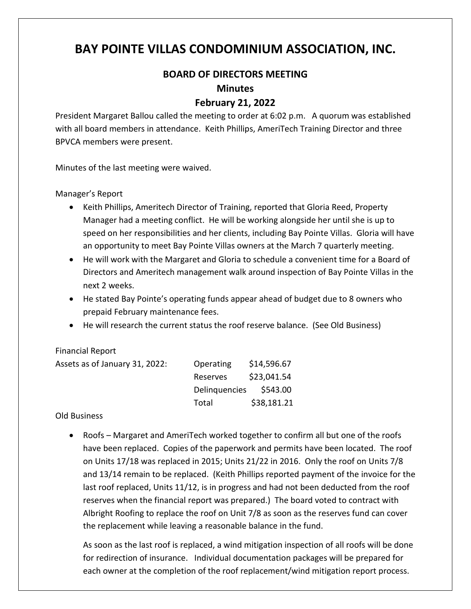# **BAY POINTE VILLAS CONDOMINIUM ASSOCIATION, INC.**

## **BOARD OF DIRECTORS MEETING**

### **Minutes**

## **February 21, 2022**

President Margaret Ballou called the meeting to order at 6:02 p.m. A quorum was established with all board members in attendance. Keith Phillips, AmeriTech Training Director and three BPVCA members were present.

Minutes of the last meeting were waived.

Manager's Report

- Keith Phillips, Ameritech Director of Training, reported that Gloria Reed, Property Manager had a meeting conflict. He will be working alongside her until she is up to speed on her responsibilities and her clients, including Bay Pointe Villas. Gloria will have an opportunity to meet Bay Pointe Villas owners at the March 7 quarterly meeting.
- He will work with the Margaret and Gloria to schedule a convenient time for a Board of Directors and Ameritech management walk around inspection of Bay Pointe Villas in the next 2 weeks.
- He stated Bay Pointe's operating funds appear ahead of budget due to 8 owners who prepaid February maintenance fees.
- He will research the current status the roof reserve balance. (See Old Business)

#### Financial Report

| Assets as of January 31, 2022: | Operating     | \$14,596.67 |
|--------------------------------|---------------|-------------|
|                                | Reserves      | \$23,041.54 |
|                                | Delinguencies | \$543.00    |
|                                | Total         | \$38,181.21 |

#### Old Business

• Roofs – Margaret and AmeriTech worked together to confirm all but one of the roofs have been replaced. Copies of the paperwork and permits have been located. The roof on Units 17/18 was replaced in 2015; Units 21/22 in 2016. Only the roof on Units 7/8 and 13/14 remain to be replaced. (Keith Phillips reported payment of the invoice for the last roof replaced, Units 11/12, is in progress and had not been deducted from the roof reserves when the financial report was prepared.) The board voted to contract with Albright Roofing to replace the roof on Unit 7/8 as soon as the reserves fund can cover the replacement while leaving a reasonable balance in the fund.

As soon as the last roof is replaced, a wind mitigation inspection of all roofs will be done for redirection of insurance. Individual documentation packages will be prepared for each owner at the completion of the roof replacement/wind mitigation report process.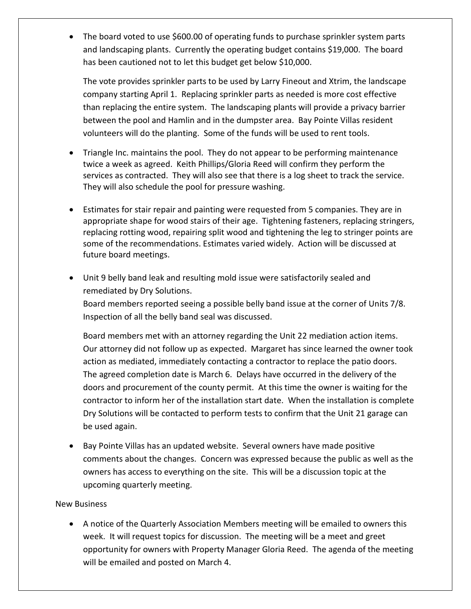• The board voted to use \$600.00 of operating funds to purchase sprinkler system parts and landscaping plants. Currently the operating budget contains \$19,000. The board has been cautioned not to let this budget get below \$10,000.

The vote provides sprinkler parts to be used by Larry Fineout and Xtrim, the landscape company starting April 1. Replacing sprinkler parts as needed is more cost effective than replacing the entire system. The landscaping plants will provide a privacy barrier between the pool and Hamlin and in the dumpster area. Bay Pointe Villas resident volunteers will do the planting. Some of the funds will be used to rent tools.

- Triangle Inc. maintains the pool. They do not appear to be performing maintenance twice a week as agreed. Keith Phillips/Gloria Reed will confirm they perform the services as contracted. They will also see that there is a log sheet to track the service. They will also schedule the pool for pressure washing.
- Estimates for stair repair and painting were requested from 5 companies. They are in appropriate shape for wood stairs of their age. Tightening fasteners, replacing stringers, replacing rotting wood, repairing split wood and tightening the leg to stringer points are some of the recommendations. Estimates varied widely. Action will be discussed at future board meetings.
- Unit 9 belly band leak and resulting mold issue were satisfactorily sealed and remediated by Dry Solutions.

Board members reported seeing a possible belly band issue at the corner of Units 7/8. Inspection of all the belly band seal was discussed.

Board members met with an attorney regarding the Unit 22 mediation action items. Our attorney did not follow up as expected. Margaret has since learned the owner took action as mediated, immediately contacting a contractor to replace the patio doors. The agreed completion date is March 6. Delays have occurred in the delivery of the doors and procurement of the county permit. At this time the owner is waiting for the contractor to inform her of the installation start date. When the installation is complete Dry Solutions will be contacted to perform tests to confirm that the Unit 21 garage can be used again.

• Bay Pointe Villas has an updated website. Several owners have made positive comments about the changes. Concern was expressed because the public as well as the owners has access to everything on the site. This will be a discussion topic at the upcoming quarterly meeting.

## New Business

• A notice of the Quarterly Association Members meeting will be emailed to owners this week. It will request topics for discussion. The meeting will be a meet and greet opportunity for owners with Property Manager Gloria Reed. The agenda of the meeting will be emailed and posted on March 4.